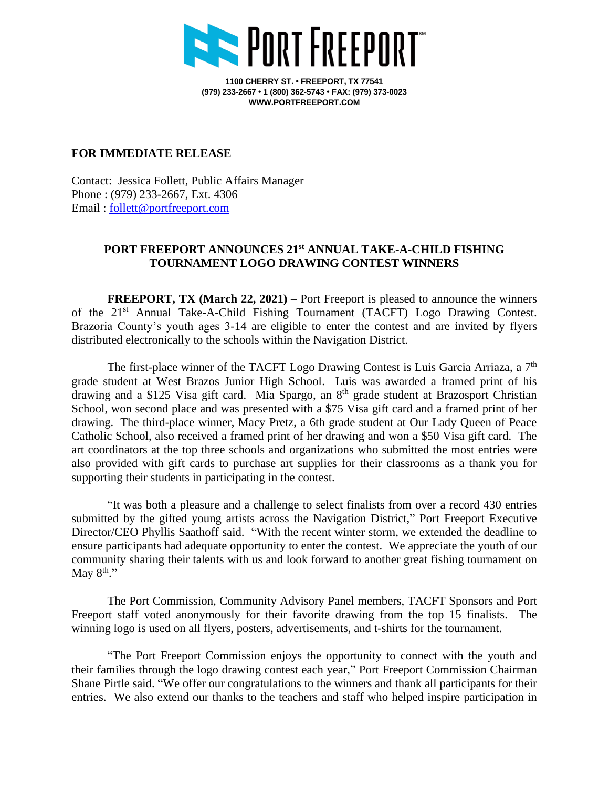

**1100 CHERRY ST. • FREEPORT, TX 77541 (979) 233-2667 • 1 (800) 362-5743 • FAX: (979) 373-0023 WWW.PORTFREEPORT.COM**

## **FOR IMMEDIATE RELEASE**

Contact: Jessica Follett, Public Affairs Manager Phone : (979) 233-2667, Ext. 4306 Email : [follett@portfreeport.com](mailto:follett@portfreeport.com)

## **PORT FREEPORT ANNOUNCES 21 st ANNUAL TAKE-A-CHILD FISHING TOURNAMENT LOGO DRAWING CONTEST WINNERS**

**FREEPORT, TX (March 22, 2021) –** Port Freeport is pleased to announce the winners of the 21<sup>st</sup> Annual Take-A-Child Fishing Tournament (TACFT) Logo Drawing Contest. Brazoria County's youth ages 3-14 are eligible to enter the contest and are invited by flyers distributed electronically to the schools within the Navigation District.

The first-place winner of the TACFT Logo Drawing Contest is Luis Garcia Arriaza, a 7<sup>th</sup> grade student at West Brazos Junior High School. Luis was awarded a framed print of his drawing and a \$125 Visa gift card. Mia Spargo, an 8<sup>th</sup> grade student at Brazosport Christian School, won second place and was presented with a \$75 Visa gift card and a framed print of her drawing. The third-place winner, Macy Pretz, a 6th grade student at Our Lady Queen of Peace Catholic School, also received a framed print of her drawing and won a \$50 Visa gift card. The art coordinators at the top three schools and organizations who submitted the most entries were also provided with gift cards to purchase art supplies for their classrooms as a thank you for supporting their students in participating in the contest.

"It was both a pleasure and a challenge to select finalists from over a record 430 entries submitted by the gifted young artists across the Navigation District," Port Freeport Executive Director/CEO Phyllis Saathoff said. "With the recent winter storm, we extended the deadline to ensure participants had adequate opportunity to enter the contest. We appreciate the youth of our community sharing their talents with us and look forward to another great fishing tournament on May  $8^{\text{th}}$ ."

The Port Commission, Community Advisory Panel members, TACFT Sponsors and Port Freeport staff voted anonymously for their favorite drawing from the top 15 finalists. The winning logo is used on all flyers, posters, advertisements, and t-shirts for the tournament.

"The Port Freeport Commission enjoys the opportunity to connect with the youth and their families through the logo drawing contest each year," Port Freeport Commission Chairman Shane Pirtle said. "We offer our congratulations to the winners and thank all participants for their entries. We also extend our thanks to the teachers and staff who helped inspire participation in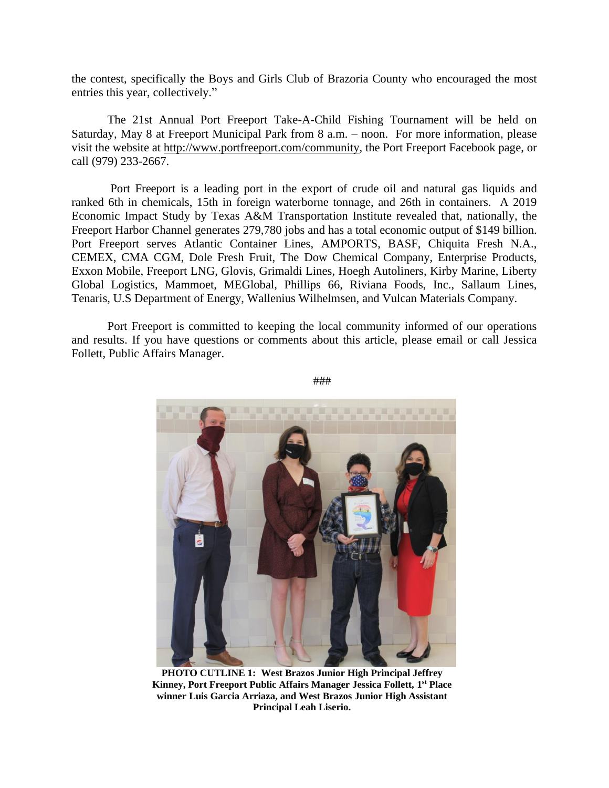the contest, specifically the Boys and Girls Club of Brazoria County who encouraged the most entries this year, collectively."

The 21st Annual Port Freeport Take-A-Child Fishing Tournament will be held on Saturday, May 8 at Freeport Municipal Park from 8 a.m. – noon. For more information, please visit the website at [http://www.portfreeport.com/community,](http://www.portfreeport.com/community) the Port Freeport Facebook page, or call (979) 233-2667.

Port Freeport is a leading port in the export of crude oil and natural gas liquids and ranked 6th in chemicals, 15th in foreign waterborne tonnage, and 26th in containers. A 2019 Economic Impact Study by Texas A&M Transportation Institute revealed that, nationally, the Freeport Harbor Channel generates 279,780 jobs and has a total economic output of \$149 billion. Port Freeport serves Atlantic Container Lines, AMPORTS, BASF, Chiquita Fresh N.A., CEMEX, CMA CGM, Dole Fresh Fruit, The Dow Chemical Company, Enterprise Products, Exxon Mobile, Freeport LNG, Glovis, Grimaldi Lines, Hoegh Autoliners, Kirby Marine, Liberty Global Logistics, Mammoet, MEGlobal, Phillips 66, Riviana Foods, Inc., Sallaum Lines, Tenaris, U.S Department of Energy, Wallenius Wilhelmsen, and Vulcan Materials Company.

Port Freeport is committed to keeping the local community informed of our operations and results. If you have questions or comments about this article, please email or call Jessica Follett, Public Affairs Manager.



###

**PHOTO CUTLINE 1: West Brazos Junior High Principal Jeffrey Kinney, Port Freeport Public Affairs Manager Jessica Follett, 1 st Place winner Luis Garcia Arriaza, and West Brazos Junior High Assistant Principal Leah Liserio.**